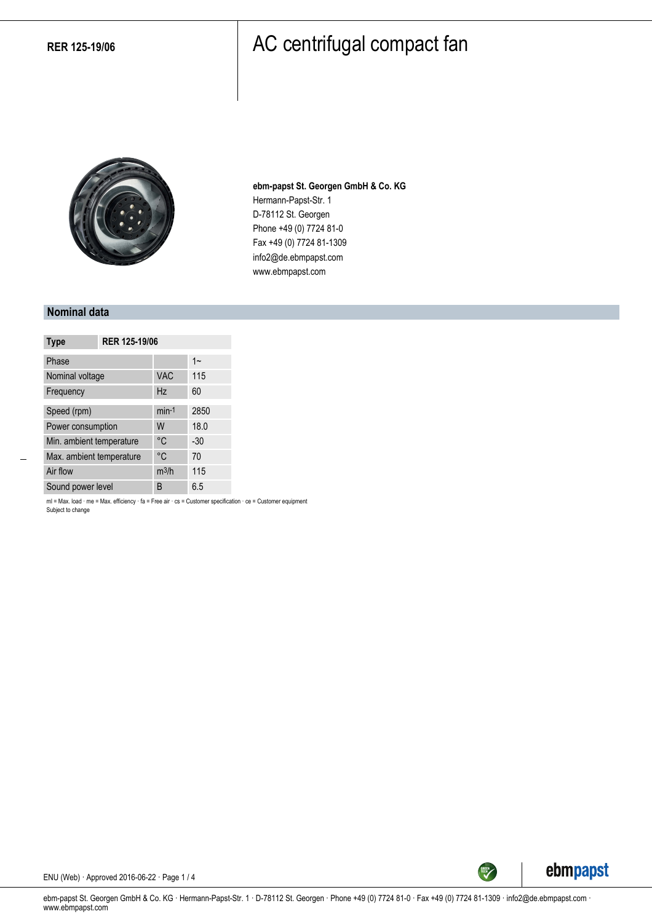

**ebm-papst St. Georgen GmbH & Co. KG** Hermann-Papst-Str. 1 D-78112 St. Georgen Phone +49 (0) 7724 81-0 Fax +49 (0) 7724 81-1309 info2@de.ebmpapst.com www.ebmpapst.com

#### **Nominal data**

| <b>Type</b>              | RER 125-19/06 |            |       |
|--------------------------|---------------|------------|-------|
| Phase                    |               |            | $1 -$ |
| Nominal voltage          |               | <b>VAC</b> | 115   |
| Frequency                |               | Hz         | 60    |
| Speed (rpm)              |               | $min-1$    | 2850  |
| Power consumption        |               | W          | 18.0  |
| Min. ambient temperature |               | °C         | $-30$ |
| Max. ambient temperature |               | °C         | 70    |
| Air flow                 |               | $m^3/h$    | 115   |
| Sound power level        |               | B          | 6.5   |

ml = Max. load · me = Max. efficiency · fa = Free air · cs = Customer specification · ce = Customer equipment Subject to change



ENU (Web) · Approved 2016-06-22 · Page 1 / 4

ebm-papst St. Georgen GmbH & Co. KG · Hermann-Papst-Str. 1 · D-78112 St. Georgen · Phone +49 (0) 7724 81-0 · Fax +49 (0) 7724 81-1309 · info2@de.ebmpapst.com · www.ebmpapst.com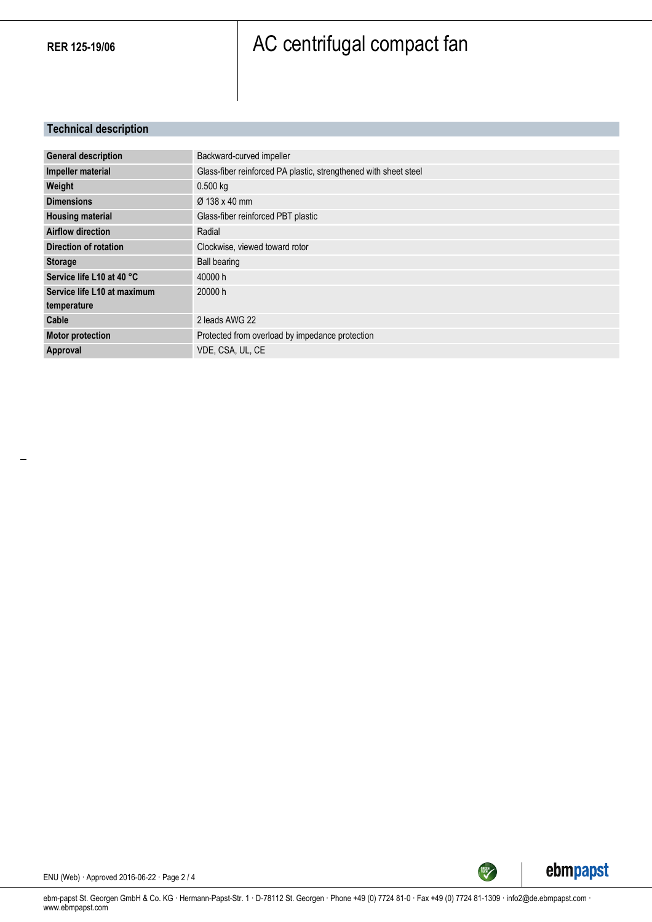### **Technical description**

| <b>General description</b>  | Backward-curved impeller                                         |
|-----------------------------|------------------------------------------------------------------|
| Impeller material           | Glass-fiber reinforced PA plastic, strengthened with sheet steel |
| Weight                      | $0.500$ kg                                                       |
| <b>Dimensions</b>           | $\varnothing$ 138 x 40 mm                                        |
| <b>Housing material</b>     | Glass-fiber reinforced PBT plastic                               |
| <b>Airflow direction</b>    | Radial                                                           |
| Direction of rotation       | Clockwise, viewed toward rotor                                   |
| <b>Storage</b>              | <b>Ball bearing</b>                                              |
| Service life L10 at 40 °C   | 40000 h                                                          |
| Service life L10 at maximum | 20000 h                                                          |
| temperature                 |                                                                  |
| Cable                       | 2 leads AWG 22                                                   |
| <b>Motor protection</b>     | Protected from overload by impedance protection                  |
| Approval                    | VDE, CSA, UL, CE                                                 |



ENU (Web) · Approved 2016-06-22 · Page 2 / 4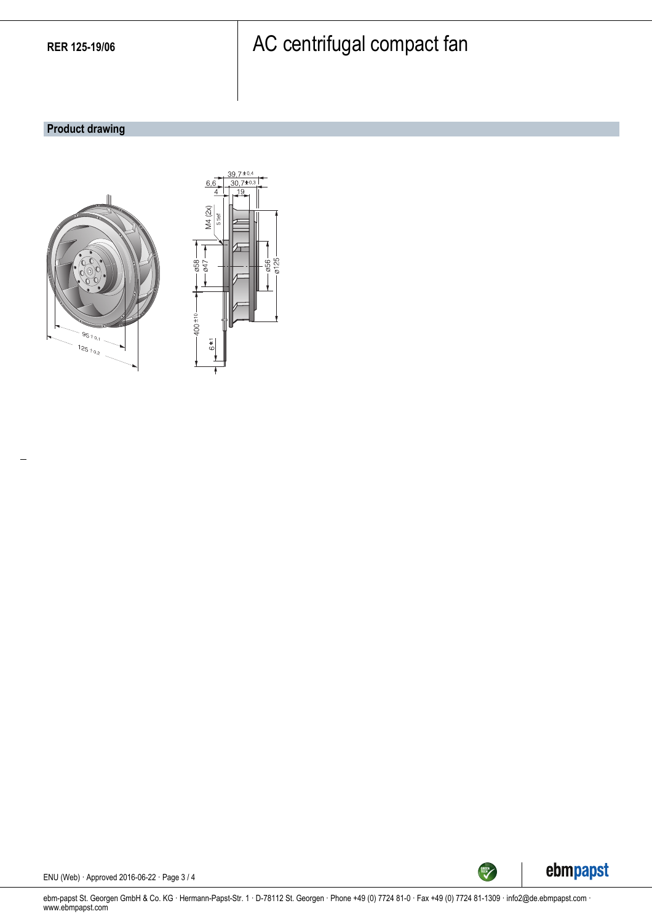### **Product drawing**





ENU (Web) · Approved 2016-06-22 · Page 3 / 4